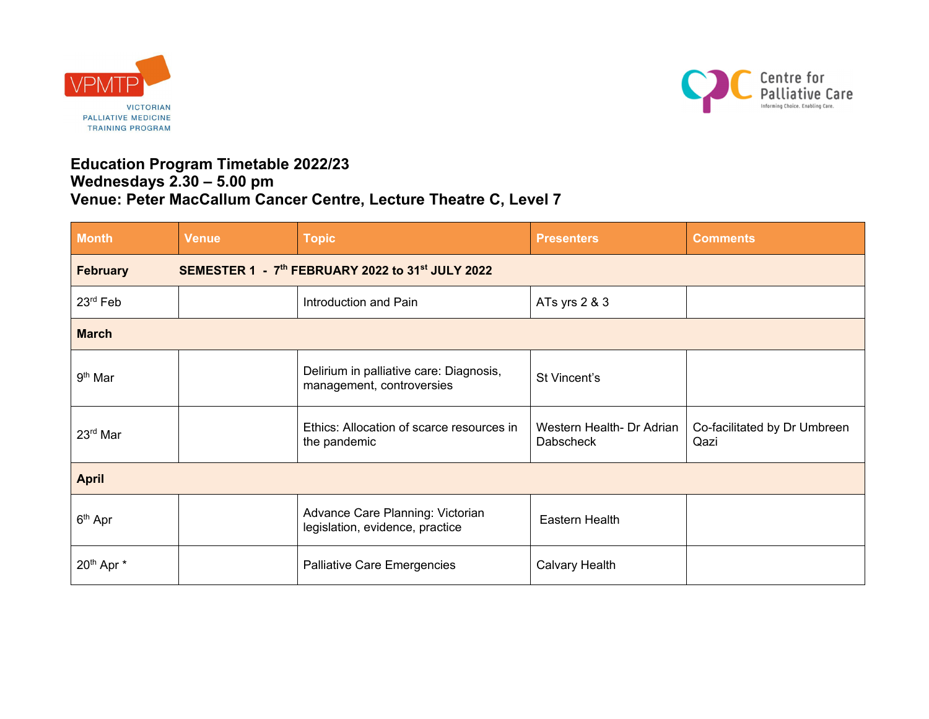



## **Education Program Timetable 2022/23 Wednesdays 2.30 – 5.00 pm Venue: Peter MacCallum Cancer Centre, Lecture Theatre C, Level 7**

| <b>Month</b>                                                        | <b>Venue</b> | <b>Topic</b>                                                         | <b>Presenters</b>                             | <b>Comments</b>                      |  |
|---------------------------------------------------------------------|--------------|----------------------------------------------------------------------|-----------------------------------------------|--------------------------------------|--|
| SEMESTER 1 - 7th FEBRUARY 2022 to 31st JULY 2022<br><b>February</b> |              |                                                                      |                                               |                                      |  |
| 23rd Feb                                                            |              | Introduction and Pain                                                | ATs yrs 2 & 3                                 |                                      |  |
| <b>March</b>                                                        |              |                                                                      |                                               |                                      |  |
| 9 <sup>th</sup> Mar                                                 |              | Delirium in palliative care: Diagnosis,<br>management, controversies | St Vincent's                                  |                                      |  |
| 23 <sup>rd</sup> Mar                                                |              | Ethics: Allocation of scarce resources in<br>the pandemic            | Western Health- Dr Adrian<br><b>Dabscheck</b> | Co-facilitated by Dr Umbreen<br>Qazi |  |
| <b>April</b>                                                        |              |                                                                      |                                               |                                      |  |
| $6th$ Apr                                                           |              | Advance Care Planning: Victorian<br>legislation, evidence, practice  | Eastern Health                                |                                      |  |
| 20 <sup>th</sup> Apr *                                              |              | Palliative Care Emergencies                                          | <b>Calvary Health</b>                         |                                      |  |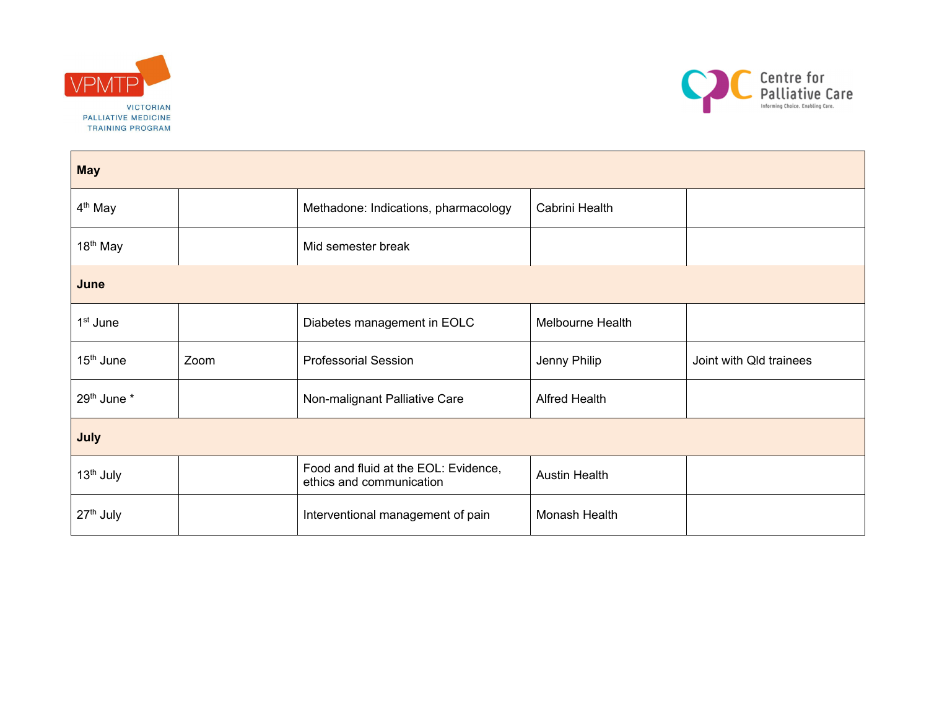



| <b>May</b>            |      |                                                                  |                      |                         |  |
|-----------------------|------|------------------------------------------------------------------|----------------------|-------------------------|--|
| 4 <sup>th</sup> May   |      | Methadone: Indications, pharmacology                             | Cabrini Health       |                         |  |
| 18 <sup>th</sup> May  |      | Mid semester break                                               |                      |                         |  |
| June                  |      |                                                                  |                      |                         |  |
| 1 <sup>st</sup> June  |      | Diabetes management in EOLC                                      | Melbourne Health     |                         |  |
| 15 <sup>th</sup> June | Zoom | <b>Professorial Session</b>                                      | Jenny Philip         | Joint with Qld trainees |  |
| 29th June *           |      | Non-malignant Palliative Care                                    | <b>Alfred Health</b> |                         |  |
| July                  |      |                                                                  |                      |                         |  |
| 13 <sup>th</sup> July |      | Food and fluid at the EOL: Evidence,<br>ethics and communication | <b>Austin Health</b> |                         |  |
| 27 <sup>th</sup> July |      | Interventional management of pain                                | Monash Health        |                         |  |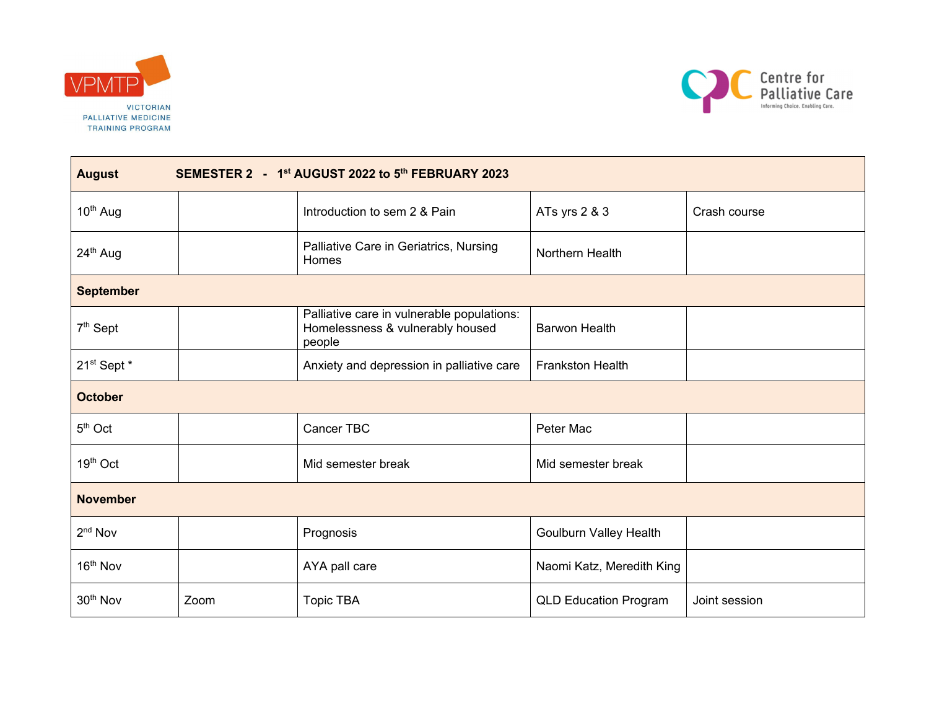



| SEMESTER 2 - 1 <sup>st</sup> AUGUST 2022 to 5 <sup>th</sup> FEBRUARY 2023<br><b>August</b> |      |                                                                                          |                              |               |  |
|--------------------------------------------------------------------------------------------|------|------------------------------------------------------------------------------------------|------------------------------|---------------|--|
| 10 <sup>th</sup> Aug                                                                       |      | Introduction to sem 2 & Pain                                                             | ATs yrs 2 & 3                | Crash course  |  |
| 24 <sup>th</sup> Aug                                                                       |      | Palliative Care in Geriatrics, Nursing<br>Homes                                          | Northern Health              |               |  |
| <b>September</b>                                                                           |      |                                                                                          |                              |               |  |
| 7 <sup>th</sup> Sept                                                                       |      | Palliative care in vulnerable populations:<br>Homelessness & vulnerably housed<br>people | <b>Barwon Health</b>         |               |  |
| 21st Sept *                                                                                |      | Anxiety and depression in palliative care                                                | <b>Frankston Health</b>      |               |  |
| <b>October</b>                                                                             |      |                                                                                          |                              |               |  |
| $5th$ Oct                                                                                  |      | Cancer TBC                                                                               | Peter Mac                    |               |  |
| 19th Oct                                                                                   |      | Mid semester break                                                                       | Mid semester break           |               |  |
| <b>November</b>                                                                            |      |                                                                                          |                              |               |  |
| 2 <sup>nd</sup> Nov                                                                        |      | Prognosis                                                                                | Goulburn Valley Health       |               |  |
| 16 <sup>th</sup> Nov                                                                       |      | AYA pall care                                                                            | Naomi Katz, Meredith King    |               |  |
| 30 <sup>th</sup> Nov                                                                       | Zoom | <b>Topic TBA</b>                                                                         | <b>QLD Education Program</b> | Joint session |  |